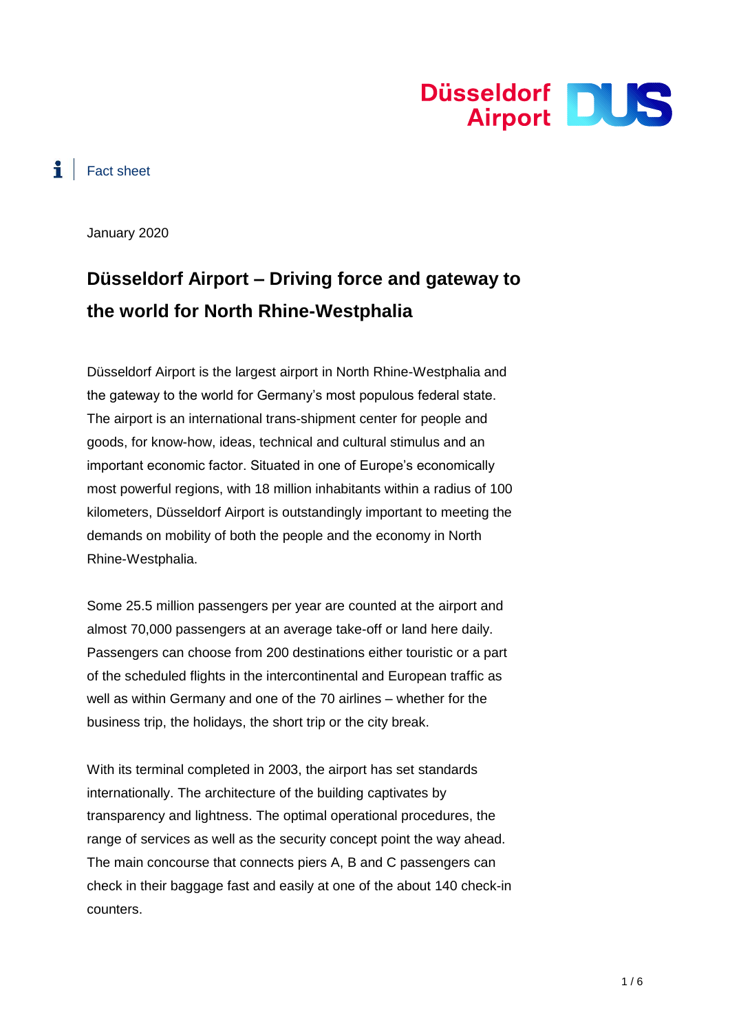

# $\ddot{\bullet}$  Fact sheet

January 2020

# **Düsseldorf Airport – Driving force and gateway to the world for North Rhine-Westphalia**

Düsseldorf Airport is the largest airport in North Rhine-Westphalia and the gateway to the world for Germany's most populous federal state. The airport is an international trans-shipment center for people and goods, for know-how, ideas, technical and cultural stimulus and an important economic factor. Situated in one of Europe's economically most powerful regions, with 18 million inhabitants within a radius of 100 kilometers, Düsseldorf Airport is outstandingly important to meeting the demands on mobility of both the people and the economy in North Rhine-Westphalia.

Some 25.5 million passengers per year are counted at the airport and almost 70,000 passengers at an average take-off or land here daily. Passengers can choose from 200 destinations either touristic or a part of the scheduled flights in the intercontinental and European traffic as well as within Germany and one of the 70 airlines – whether for the business trip, the holidays, the short trip or the city break.

With its terminal completed in 2003, the airport has set standards internationally. The architecture of the building captivates by transparency and lightness. The optimal operational procedures, the range of services as well as the security concept point the way ahead. The main concourse that connects piers A, B and C passengers can check in their baggage fast and easily at one of the about 140 check-in counters.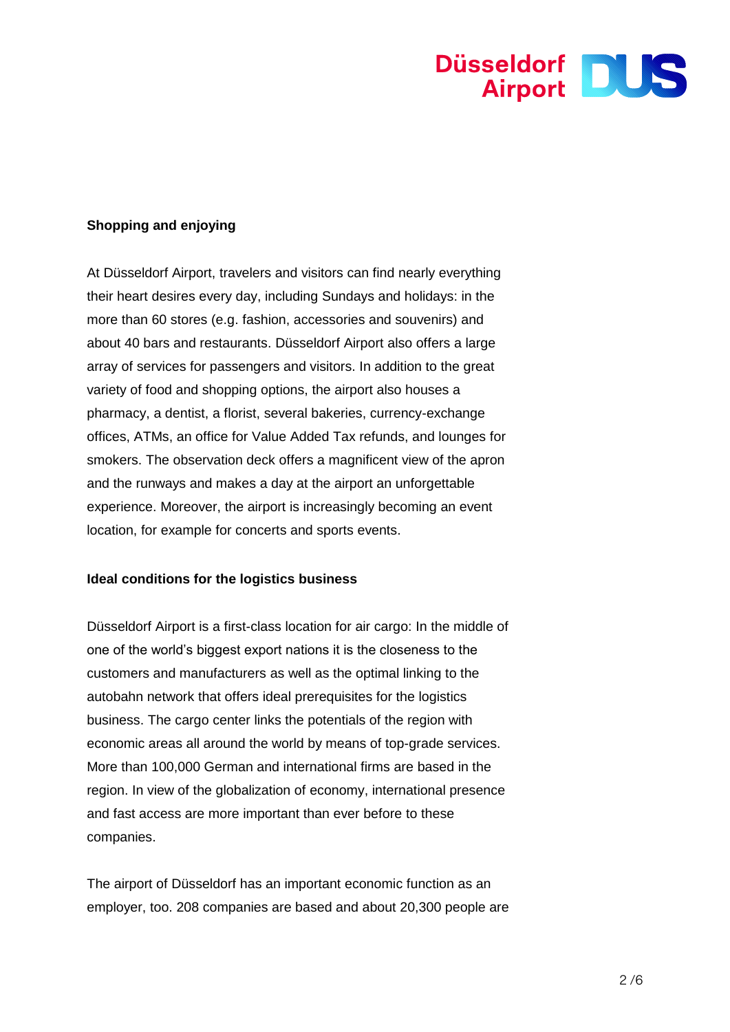

# **Shopping and enjoying**

At Düsseldorf Airport, travelers and visitors can find nearly everything their heart desires every day, including Sundays and holidays: in the more than 60 stores (e.g. fashion, accessories and souvenirs) and about 40 bars and restaurants. Düsseldorf Airport also offers a large array of services for passengers and visitors. In addition to the great variety of food and shopping options, the airport also houses a pharmacy, a dentist, a florist, several bakeries, currency-exchange offices, ATMs, an office for Value Added Tax refunds, and lounges for smokers. The observation deck offers a magnificent view of the apron and the runways and makes a day at the airport an unforgettable experience. Moreover, the airport is increasingly becoming an event location, for example for concerts and sports events.

#### **Ideal conditions for the logistics business**

Düsseldorf Airport is a first-class location for air cargo: In the middle of one of the world's biggest export nations it is the closeness to the customers and manufacturers as well as the optimal linking to the autobahn network that offers ideal prerequisites for the logistics business. The cargo center links the potentials of the region with economic areas all around the world by means of top-grade services. More than 100,000 German and international firms are based in the region. In view of the globalization of economy, international presence and fast access are more important than ever before to these companies.

The airport of Düsseldorf has an important economic function as an employer, too. 208 companies are based and about 20,300 people are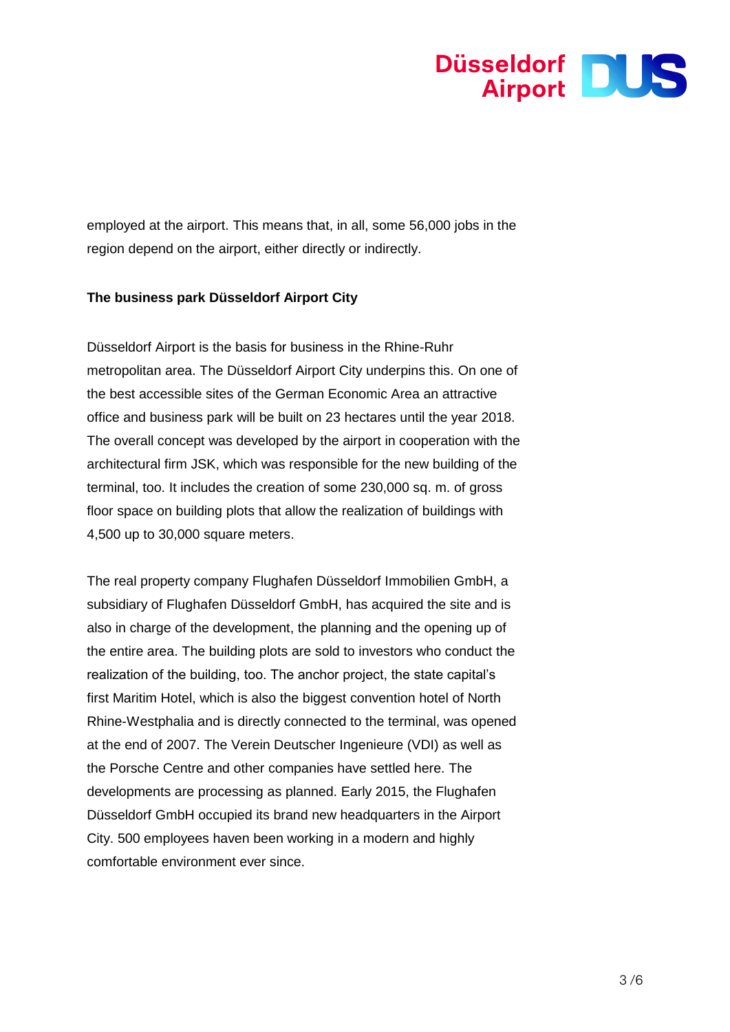

employed at the airport. This means that, in all, some 56,000 jobs in the region depend on the airport, either directly or indirectly.

# **The business park Düsseldorf Airport City**

Düsseldorf Airport is the basis for business in the Rhine-Ruhr metropolitan area. The Düsseldorf Airport City underpins this. On one of the best accessible sites of the German Economic Area an attractive office and business park will be built on 23 hectares until the year 2018. The overall concept was developed by the airport in cooperation with the architectural firm JSK, which was responsible for the new building of the terminal, too. It includes the creation of some 230,000 sq. m. of gross floor space on building plots that allow the realization of buildings with 4,500 up to 30,000 square meters.

The real property company Flughafen Düsseldorf Immobilien GmbH, a subsidiary of Flughafen Düsseldorf GmbH, has acquired the site and is also in charge of the development, the planning and the opening up of the entire area. The building plots are sold to investors who conduct the realization of the building, too. The anchor project, the state capital's first Maritim Hotel, which is also the biggest convention hotel of North Rhine-Westphalia and is directly connected to the terminal, was opened at the end of 2007. The Verein Deutscher Ingenieure (VDI) as well as the Porsche Centre and other companies have settled here. The developments are processing as planned. Early 2015, the Flughafen Düsseldorf GmbH occupied its brand new headquarters in the Airport City. 500 employees haven been working in a modern and highly comfortable environment ever since.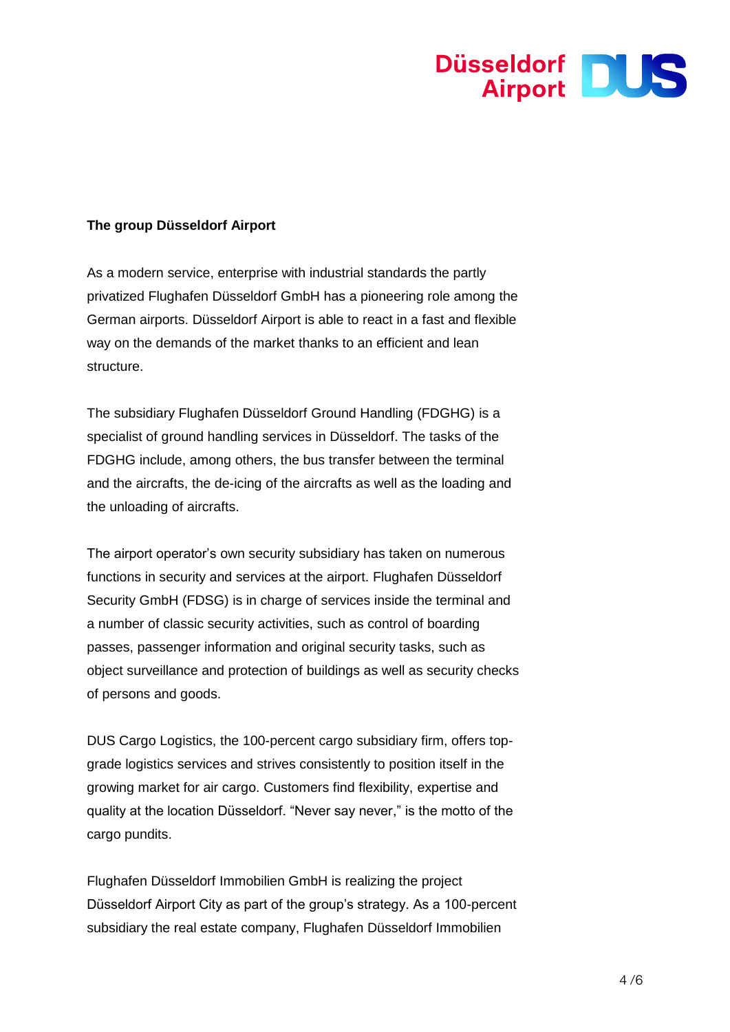

# **The group Düsseldorf Airport**

As a modern service, enterprise with industrial standards the partly privatized Flughafen Düsseldorf GmbH has a pioneering role among the German airports. Düsseldorf Airport is able to react in a fast and flexible way on the demands of the market thanks to an efficient and lean structure.

The subsidiary Flughafen Düsseldorf Ground Handling (FDGHG) is a specialist of ground handling services in Düsseldorf. The tasks of the FDGHG include, among others, the bus transfer between the terminal and the aircrafts, the de-icing of the aircrafts as well as the loading and the unloading of aircrafts.

The airport operator's own security subsidiary has taken on numerous functions in security and services at the airport. Flughafen Düsseldorf Security GmbH (FDSG) is in charge of services inside the terminal and a number of classic security activities, such as control of boarding passes, passenger information and original security tasks, such as object surveillance and protection of buildings as well as security checks of persons and goods.

DUS Cargo Logistics, the 100-percent cargo subsidiary firm, offers topgrade logistics services and strives consistently to position itself in the growing market for air cargo. Customers find flexibility, expertise and quality at the location Düsseldorf. "Never say never," is the motto of the cargo pundits.

Flughafen Düsseldorf Immobilien GmbH is realizing the project Düsseldorf Airport City as part of the group's strategy. As a 100-percent subsidiary the real estate company, Flughafen Düsseldorf Immobilien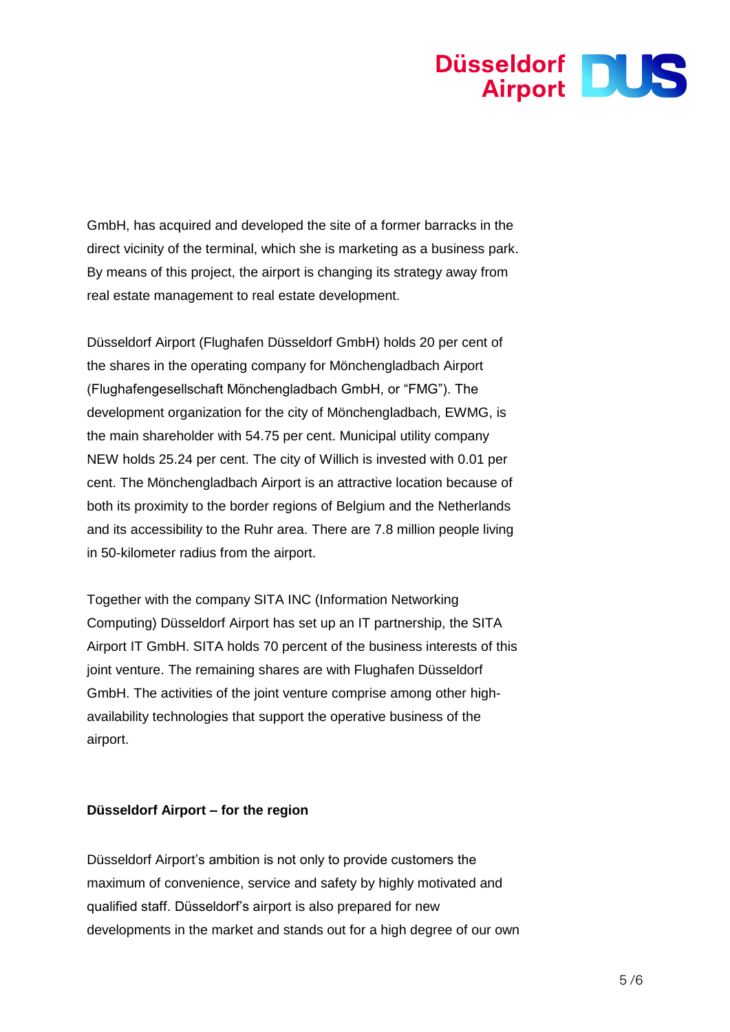

GmbH, has acquired and developed the site of a former barracks in the direct vicinity of the terminal, which she is marketing as a business park. By means of this project, the airport is changing its strategy away from real estate management to real estate development.

Düsseldorf Airport (Flughafen Düsseldorf GmbH) holds 20 per cent of the shares in the operating company for Mönchengladbach Airport (Flughafengesellschaft Mönchengladbach GmbH, or "FMG"). The development organization for the city of Mönchengladbach, EWMG, is the main shareholder with 54.75 per cent. Municipal utility company NEW holds 25.24 per cent. The city of Willich is invested with 0.01 per cent. The Mönchengladbach Airport is an attractive location because of both its proximity to the border regions of Belgium and the Netherlands and its accessibility to the Ruhr area. There are 7.8 million people living in 50-kilometer radius from the airport.

Together with the company SITA INC (Information Networking Computing) Düsseldorf Airport has set up an IT partnership, the SITA Airport IT GmbH. SITA holds 70 percent of the business interests of this joint venture. The remaining shares are with Flughafen Düsseldorf GmbH. The activities of the joint venture comprise among other highavailability technologies that support the operative business of the airport.

#### **Düsseldorf Airport – for the region**

Düsseldorf Airport's ambition is not only to provide customers the maximum of convenience, service and safety by highly motivated and qualified staff. Düsseldorf's airport is also prepared for new developments in the market and stands out for a high degree of our own